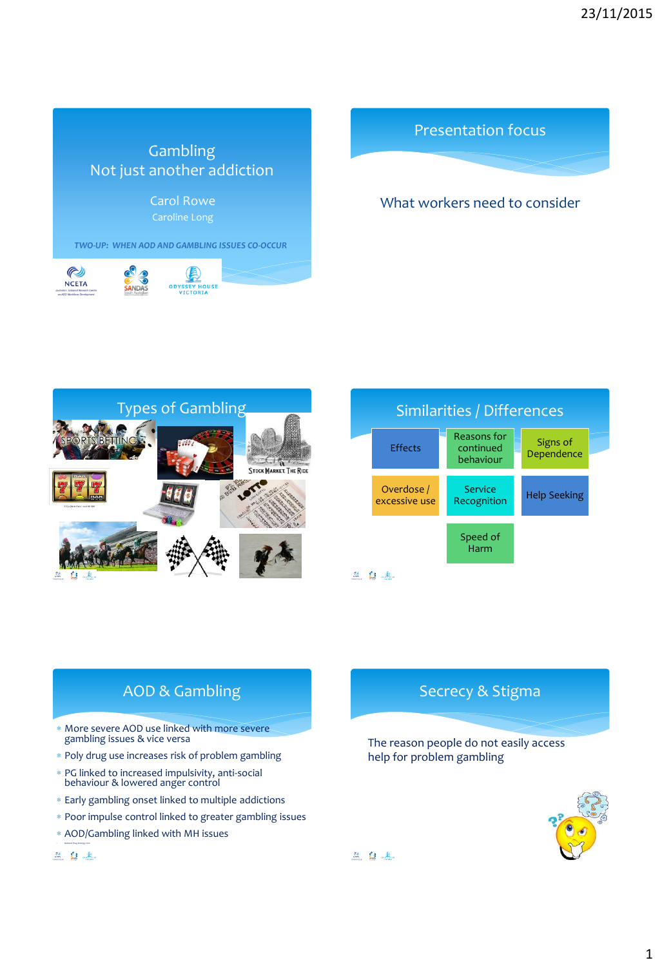





## What workers need to consider





# AOD & Gambling

- More severe AOD use linked with more severe gambling issues & vice versa
- \* Poly drug use increases risk of problem gambling
- PG linked to increased impulsivity, anti-social behaviour & lowered anger control
- Early gambling onset linked to multiple addictions
- Poor impulse control linked to greater gambling issues
- AOD/Gambling linked with MH issues
- *National Drug Strategy 2010* 显自主

## Secrecy & Stigma

The reason people do not easily access help for problem gambling



△ 白玉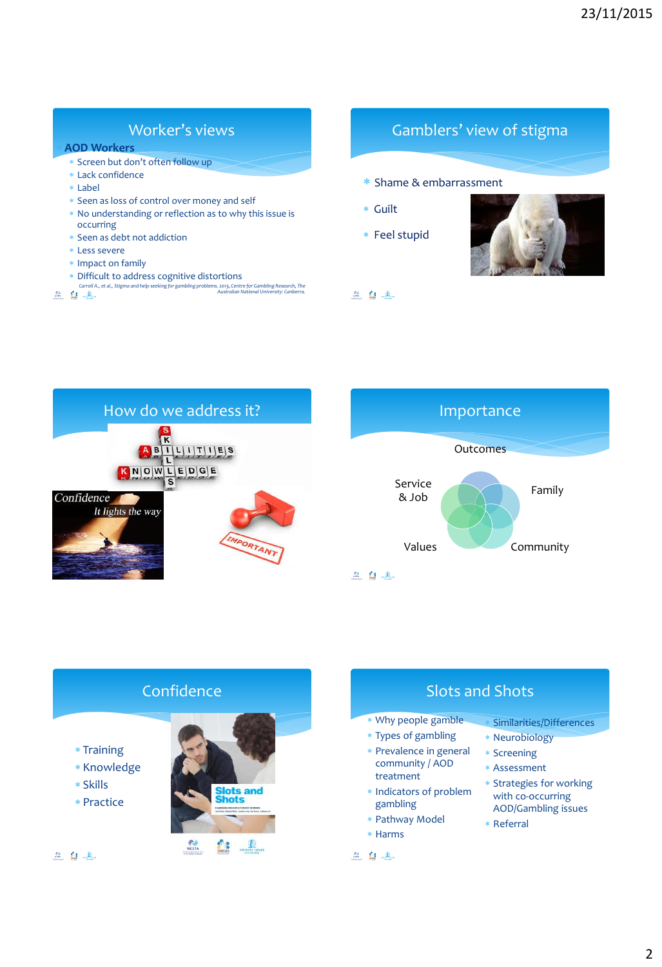## Worker's views

#### **AOD Workers**

- Screen but don't often follow up
- Lack confidence
- Label
- Seen as loss of control over money and self
- No understanding or reflection as to why this issue is occurring
- Seen as debt not addiction
- Less severe
- \* Impact on family
- \* Difficult to address cognitive distortions
- *Carroll A., et al., Stigma and help-seeking for gambling problems. 2013, Centre for Gambling Research, The Australian National University: Canberra.*

## Gamblers' view of stigma

- Shame & embarrassment
- Guilt
- Feel stupid



血血土





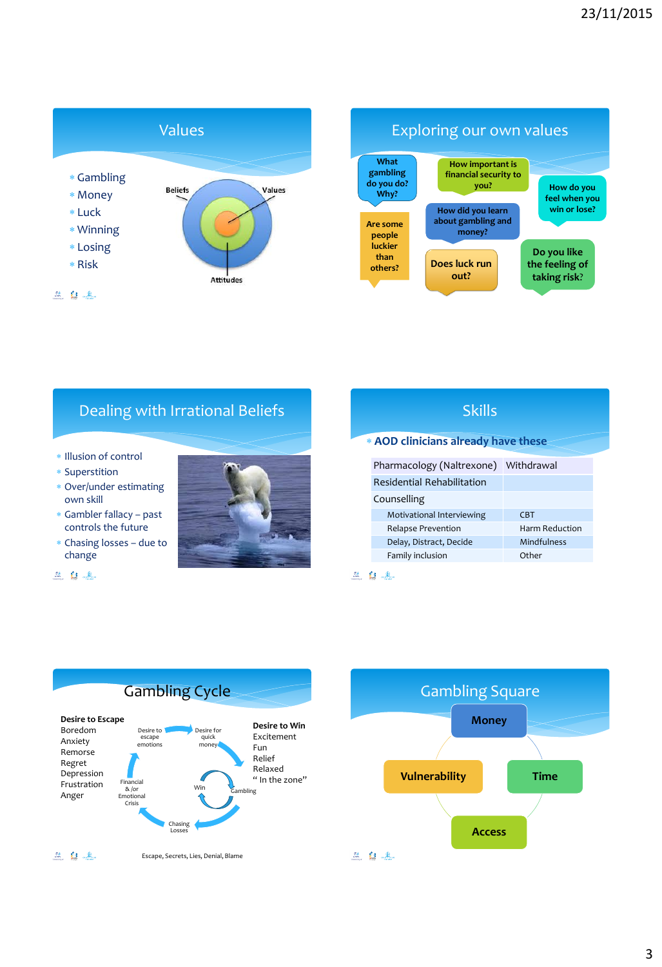



# Dealing with Irrational Beliefs

- \* Illusion of control
- Superstition
- Over/under estimating own skill
- Gambler fallacy past controls the future
- Chasing losses due to change
- 自是



| oniid                               |                       |
|-------------------------------------|-----------------------|
| * AOD clinicians already have these |                       |
| Pharmacology (Naltrexone)           | Withdrawal            |
| <b>Residential Rehabilitation</b>   |                       |
| Counselling                         |                       |
| Motivational Interviewing           | <b>CBT</b>            |
| Relapse Prevention                  | <b>Harm Reduction</b> |
| Delay, Distract, Decide             | Mindfulness           |
| Family inclusion                    | Other                 |
|                                     |                       |

Skills





# 3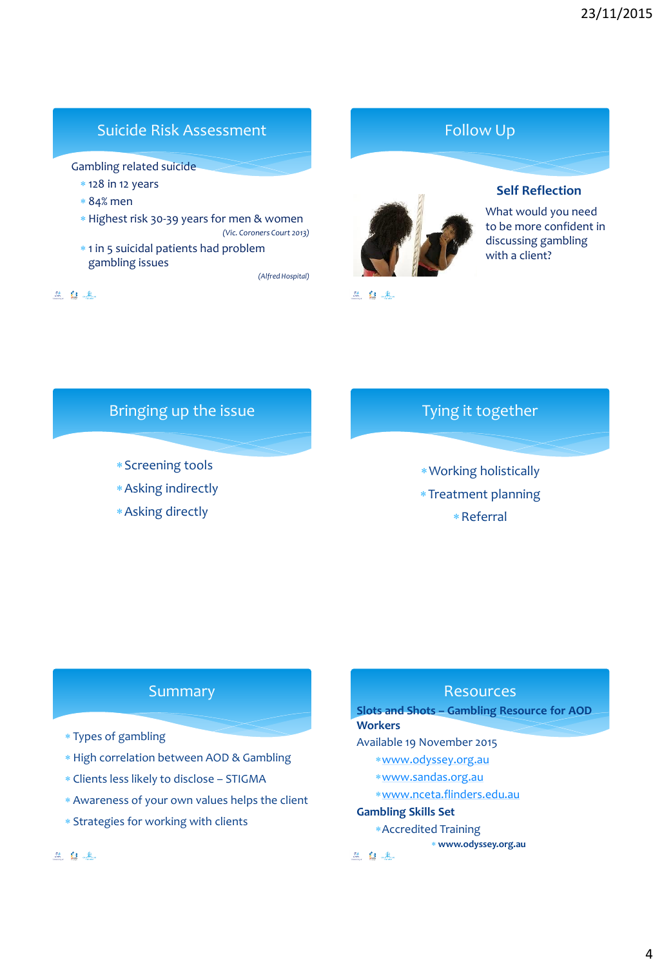## Suicide Risk Assessment

Gambling related suicide

- $*$  128 in 12 years
- 84% men
- Highest risk 30-39 years for men & women *(Vic. Coroners Court 2013)*
- \* 1 in 5 suicidal patients had problem gambling issues

*(Alfred Hospital)*

血血土

#### $\frac{m}{\sin \theta}$  ( )  $\frac{0}{\sin \theta}$  .



## Bringing up the issue

- Screening tools
- Asking indirectly
- Asking directly

# Tying it together

Working holistically Treatment planning Referral

## Summary

- Types of gambling
- High correlation between AOD & Gambling
- Clients less likely to disclose STIGMA
- Awareness of your own values helps the client
- Strategies for working with clients

#### 显自主

### **Resources**

**Slots and Shots – Gambling Resource for AOD Workers**

#### Available 19 November 2015

- [www.odyssey.org.au](http://www.odyssey.org.au/)
- [www.sandas.org.au](http://www.sandas.org.au/)
- [www.nceta.flinders.edu.au](http://www.nceta.flinders.edu.au/)

#### **Gambling Skills Set**

- Accredited Training
- **www.odyssey.org.au**

兰自主